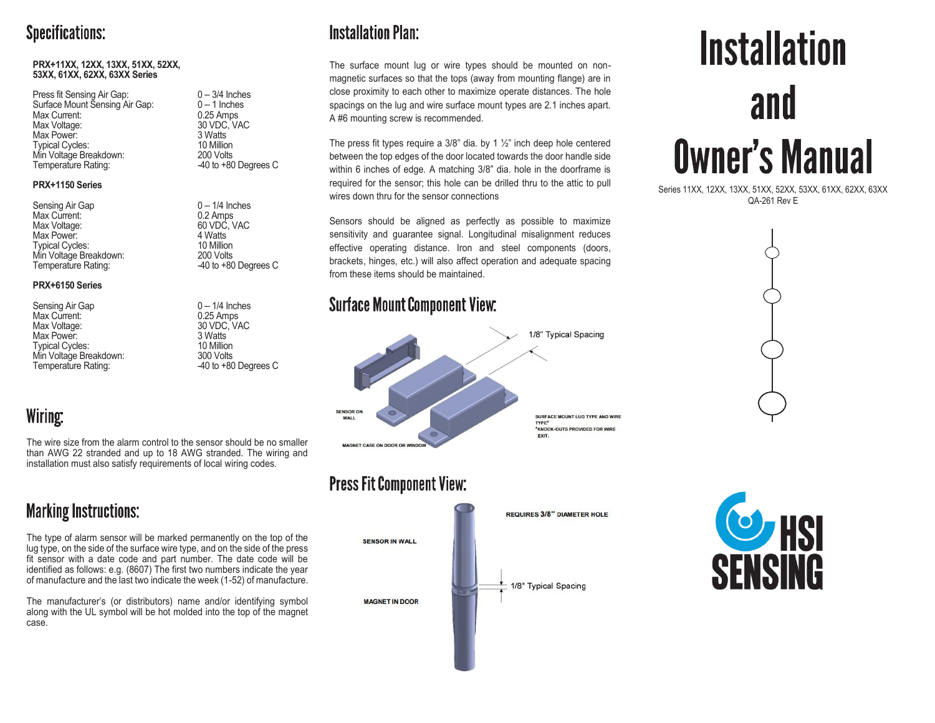#### **Specifications:**

#### **PRX+11XX, 12XX, 13XX, 51XX, 52XX, 53XX, 61XX, 62XX, 63XX Series**

| Press fit Sensing Air Gap:     |
|--------------------------------|
| Surface Mount Sensing Air Gap: |
| Max Current:                   |
| Max Voltage:                   |
| Max Power:                     |
| <b>Typical Cycles:</b>         |
| Min Voltage Breakdown:         |
| Temperature Rating:            |

#### **PRX+1150 Series**

| $0 - 1/4$ Inches   |
|--------------------|
| 0.2 Amps           |
| 60 VDC, VAC        |
| 4 Watts            |
| 10 Million         |
| 200 Volts          |
| $-40$ to $+80$ Deg |
|                    |

#### **PRX+6150 Series**

Sensing Air Gap 0 – 1/4 Inches Max Current:<br>Max Voltage: Max Power: 3 Watts<br>
Typical Cycles: 10 Million Typical Cycles: 10 Million<br>
Min Voltage Breakdown: 10 Min Volts Min Voltage Breakdown:<br>Temperature Rating:

 $0 - 3/4$  Inches  $0 - 1$  Inches  $0.25$  Amps 30 VDC. VAC 3 Watts 10 Million 200 Volts  $-40$  to  $+80$  Degrees C

> $0 - 1/4$  Inches 4 Watts 10 Million 200 Volts  $-40$  to  $+80$  Degrees C

30 VDC, VAC<br>3 Watts  $-40$  to  $+80$  Degrees C

#### Wiring:

The wire size from the alarm control to the sensor should be no smaller than AWG 22 stranded and up to 18 AWG stranded. The wiring and installation must also satisfy requirements of local wiring codes.

## **Marking Instructions:**

The type of alarm sensor will be marked permanently on the top of the lug type, on the side of the surface wire type, and on the side of the press fit sensor with a date code and part number. The date code will be identified as follows: e.g. (8607) The first two numbers indicate the year of manufacture and the last two indicate the week (1-52) of manufacture.

The manufacturer's (or distributors) name and/or identifying symbol along with the UL symbol will be hot molded into the top of the magnet case.

## **Installation Plan:**

The surface mount lug or wire types should be mounted on nonmagnetic surfaces so that the tops (away from mounting flange) are in close proximity to each other to maximize operate distances. The hole spacings on the lug and wire surface mount types are 2.1 inches apart. A #6 mounting screw is recommended.

The press fit types require a  $3/8$ " dia. by 1  $\frac{1}{2}$ " inch deep hole centered between the top edges of the door located towards the door handle side within 6 inches of edge. A matching 3/8" dia. hole in the doorframe is required for the sensor; this hole can be drilled thru to the attic to pull wires down thru for the sensor connections

Sensors should be aligned as perfectly as possible to maximize sensitivity and guarantee signal. Longitudinal misalignment reduces effective operating distance. Iron and steel components (doors, brackets, hinges, etc.) will also affect operation and adequate spacing from these items should be maintained.

#### **Surface Mount Component View:**



### **Press Fit Component View:**



# **Installation** and **Owner's Manual**

Series 11XX, 12XX, 13XX, 51XX, 52XX, 53XX, 61XX, 62XX, 63XX QA-261 Rev E